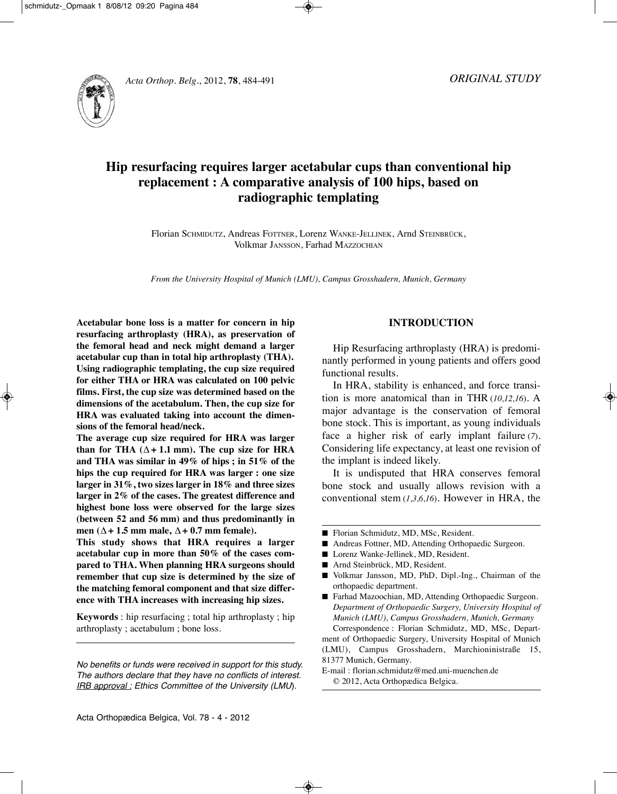



# **Hip resurfacing requires larger acetabular cups than conventional hip replacement : A comparative analysis of 100 hips, based on radiographic templating**

Florian SCHMIDUTZ, Andreas FOTTNER, Lorenz WANKE-JELLINEK, Arnd STEINBRÜCK, Volkmar JAnSSOn, Farhad MAzzOCHIAn

*From the University Hospital of Munich (LMU), Campus Grosshadern, Munich, Germany*

**Acetabular bone loss is a matter for concern in hip resurfacing arthroplasty (HRA), as preservation of the femoral head and neck might demand a larger acetabular cup than in total hip arthroplasty (THA). Using radiographic templating, the cup size required for either THA or HRA was calculated on 100 pelvic films. First, the cup size was determined based on the dimensions of the acetabulum. Then, the cup size for HRA was evaluated taking into account the dimensions of the femoral head/neck.**

**The average cup size required for HRA was larger than** for **THA**  $(∆ + 1.1$  **mm**). The cup size for **HRA and THA was similar in 49% of hips ; in 51% of the hips the cup required for HRA was larger : one size larger in 31%, two sizes larger in 18% and three sizes larger in 2% of the cases. The greatest difference and highest bone loss were observed for the large sizes (between 52 and 56 mm) and thus predominantly in men**  $(∆ + 1.5$  **mm male**,  $∆ + 0.7$  **mm female**).

**This study shows that HRA requires a larger acetabular cup in more than 50% of the cases compared to THA. When planning HRA surgeons should remember that cup size is determined by the size of the matching femoral component and that size difference with THA increases with increasing hip sizes.**

**Keywords** : hip resurfacing ; total hip arthroplasty ; hip arthroplasty ; acetabulum ; bone loss.

No benefits or funds were received in support for this study. The authors declare that they have no conflicts of interest. IRB approval : Ethics Committee of the University (LMU).

# **INTRODUCTION**

Hip Resurfacing arthroplasty (HRA) is predominantly performed in young patients and offers good functional results.

In HRA, stability is enhanced, and force transition is more anatomical than in THR (*10,12,16*). A major advantage is the conservation of femoral bone stock. This is important, as young individuals face a higher risk of early implant failure (*7*). Considering life expectancy, at least one revision of the implant is indeed likely.

It is undisputed that HRA conserves femoral bone stock and usually allows revision with a conventional stem (*1,3,6,16*). However in HRA, the

- Florian Schmidutz, MD, MSc, Resident.
- Andreas Fottner, MD, Attending Orthopaedic Surgeon.
- Lorenz Wanke-Jellinek, MD, Resident.
- Arnd Steinbrück, MD, Resident.
- Volkmar Jansson, MD, PhD, Dipl.-Ing., Chairman of the orthopaedic department.
- Farhad Mazoochian, MD, Attending Orthopaedic Surgeon. *Department of Orthopaedic Surgery, University Hospital of Munich (LMU), Campus Grosshadern, Munich, Germany* Correspondence : Florian Schmidutz, MD, MSc, Depart-

ment of Orthopaedic Surgery, University Hospital of Munich (LMU), Campus Grosshadern, Marchioninistraße 15, 81377 Munich, Germany.

E-mail : florian.schmidutz@med.uni-muenchen.de © 2012, Acta Orthopædica Belgica.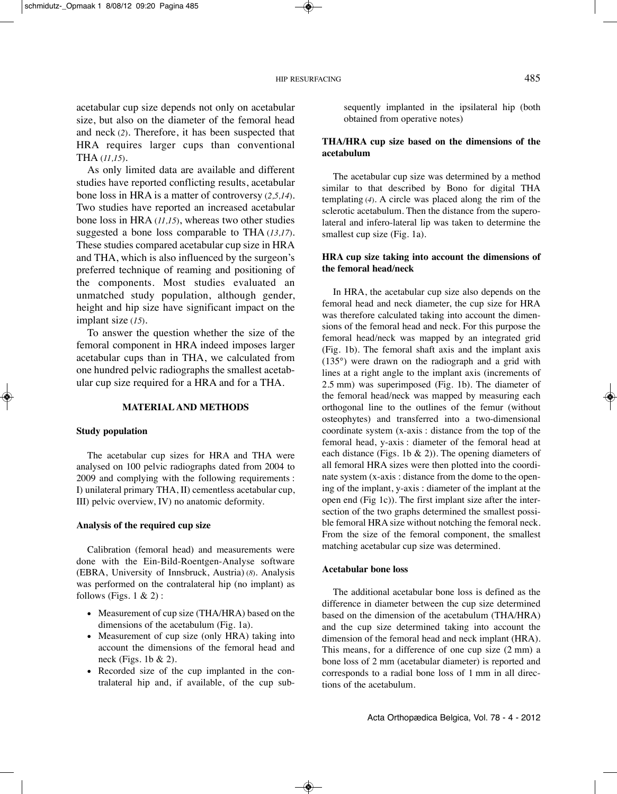acetabular cup size depends not only on acetabular size, but also on the diameter of the femoral head and neck (2). Therefore, it has been suspected that HRA requires larger cups than conventional tHA (*11,15*).

As only limited data are available and different studies have reported conflicting results, acetabular bone loss in HRA is a matter of controversy (*2,5,14*). Two studies have reported an increased acetabular bone loss in HRA (*11,15*), whereas two other studies suggested a bone loss comparable to THA (13,17). These studies compared acetabular cup size in HRA and tHA, which is also influenced by the surgeon's preferred technique of reaming and positioning of the components. Most studies evaluated an unmatched study population, although gender, height and hip size have significant impact on the implant size (*15*).

To answer the question whether the size of the femoral component in HRA indeed imposes larger acetabular cups than in THA, we calculated from one hundred pelvic radiographs the smallest acetabular cup size required for a HRA and for a THA.

#### **MATERIAL AND METHODS**

#### **Study population**

The acetabular cup sizes for HRA and THA were analysed on 100 pelvic radiographs dated from 2004 to 2009 and complying with the following requirements : I) unilateral primary THA, II) cementless acetabular cup, III) pelvic overview, IV) no anatomic deformity.

#### **Analysis of the required cup size**

Calibration (femoral head) and measurements were done with the Ein-Bild-Roentgen-Analyse software (EBRA, University of Innsbruck, Austria) (*8*). Analysis was performed on the contralateral hip (no implant) as follows (Figs.  $1 \& 2$ ):

- Measurement of cup size (THA/HRA) based on the dimensions of the acetabulum (Fig. 1a).
- Measurement of cup size (only HRA) taking into account the dimensions of the femoral head and neck (Figs. 1b & 2).
- Recorded size of the cup implanted in the contralateral hip and, if available, of the cup sub-

sequently implanted in the ipsilateral hip (both obtained from operative notes)

## **THA/HRA cup size based on the dimensions of the acetabulum**

The acetabular cup size was determined by a method similar to that described by Bono for digital THA templating (*4*). A circle was placed along the rim of the sclerotic acetabulum. Then the distance from the superolateral and infero-lateral lip was taken to determine the smallest cup size (Fig. 1a).

# **HRA cup size taking into account the dimensions of the femoral head/neck**

In HRA, the acetabular cup size also depends on the femoral head and neck diameter, the cup size for HRA was therefore calculated taking into account the dimensions of the femoral head and neck. For this purpose the femoral head/neck was mapped by an integrated grid (Fig. 1b). The femoral shaft axis and the implant axis (135°) were drawn on the radiograph and a grid with lines at a right angle to the implant axis (increments of  $2.5$  mm) was superimposed (Fig. 1b). The diameter of the femoral head/neck was mapped by measuring each orthogonal line to the outlines of the femur (without osteophytes) and transferred into a two-dimensional coordinate system (x-axis : distance from the top of the femoral head, y-axis : diameter of the femoral head at each distance (Figs. 1b  $\&$  2)). The opening diameters of all femoral HRA sizes were then plotted into the coordinate system (x-axis : distance from the dome to the opening of the implant, y-axis : diameter of the implant at the open end (Fig 1c)). The first implant size after the intersection of the two graphs determined the smallest possible femoral HRA size without notching the femoral neck. From the size of the femoral component, the smallest matching acetabular cup size was determined.

#### **Acetabular bone loss**

The additional acetabular bone loss is defined as the difference in diameter between the cup size determined based on the dimension of the acetabulum (THA/HRA) and the cup size determined taking into account the dimension of the femoral head and neck implant (HRA). This means, for a difference of one cup size  $(2 \text{ mm})$  a bone loss of 2 mm (acetabular diameter) is reported and corresponds to a radial bone loss of 1 mm in all directions of the acetabulum.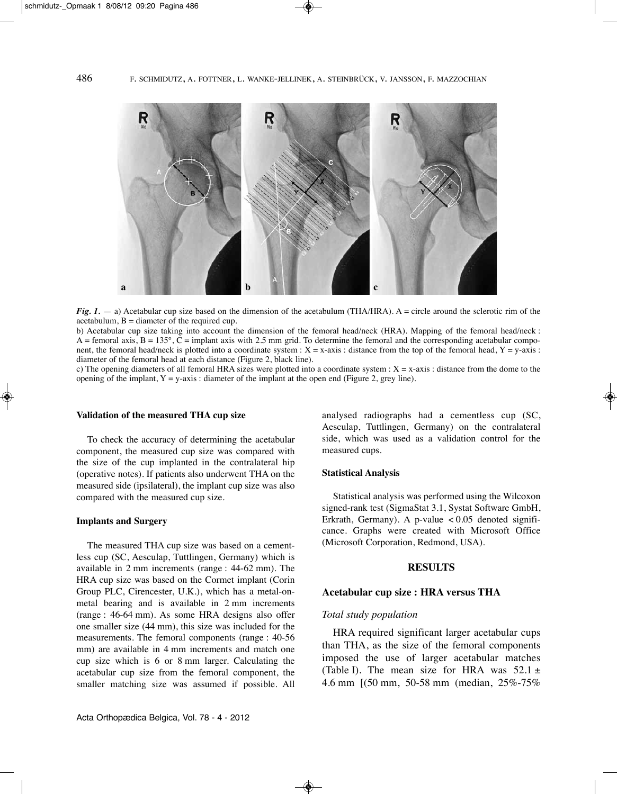

*Fig.*  $1.$  — a) Acetabular cup size based on the dimension of the acetabulum (THA/HRA). A = circle around the sclerotic rim of the acetabulum,  $B =$  diameter of the required cup.

b) Acetabular cup size taking into account the dimension of the femoral head/neck (HRA). Mapping of the femoral head/neck :  $\overline{A}$  = femoral axis,  $\overline{B}$  = 135°,  $\overline{C}$  = implant axis with 2.5 mm grid. To determine the femoral and the corresponding acetabular component, the femoral head/neck is plotted into a coordinate system :  $X = x$ -axis : distance from the top of the femoral head,  $Y = y$ -axis : diameter of the femoral head at each distance (Figure 2, black line).

c) The opening diameters of all femoral HRA sizes were plotted into a coordinate system :  $X = x$ -axis : distance from the dome to the opening of the implant,  $Y = y - axis$ : diameter of the implant at the open end (Figure 2, grey line).

#### **Validation of the measured THA cup size**

To check the accuracy of determining the acetabular component, the measured cup size was compared with the size of the cup implanted in the contralateral hip (operative notes). If patients also underwent THA on the measured side (ipsilateral), the implant cup size was also compared with the measured cup size.

#### **Implants and Surgery**

The measured THA cup size was based on a cementless cup (SC, Aesculap, Tuttlingen, Germany) which is available in  $2 \text{ mm}$  increments (range :  $44-62 \text{ mm}$ ). The HRA cup size was based on the Cormet implant (Corin Group PLC, Cirencester, U.k.), which has a metal-onmetal bearing and is available in 2 mm increments (range : 46-64 mm). As some HRA designs also offer one smaller size (44 mm), this size was included for the measurements. The femoral components (range : 40-56) mm) are available in 4 mm increments and match one cup size which is 6 or 8 mm larger. Calculating the acetabular cup size from the femoral component, the smaller matching size was assumed if possible. All analysed radiographs had a cementless cup (SC, Aesculap, Tuttlingen, Germany) on the contralateral side, which was used as a validation control for the measured cups.

#### **Statistical Analysis**

Statistical analysis was performed using the Wilcoxon signed-rank test (SigmaStat 3.1, Systat Software GmbH, Erkrath, Germany). A p-value  $\lt 0.05$  denoted significance. Graphs were created with Microsoft Office (Microsoft Corporation, Redmond, USA).

## **RESULTS**

#### **Acetabular cup size : HRA versus THA**

# *Total study population*

HRA required significant larger acetabular cups than tHA, as the size of the femoral components imposed the use of larger acetabular matches (Table I). The mean size for HRA was  $52.1 \pm$ 4.6 mm [(50 mm, 50-58 mm (median, 25%-75%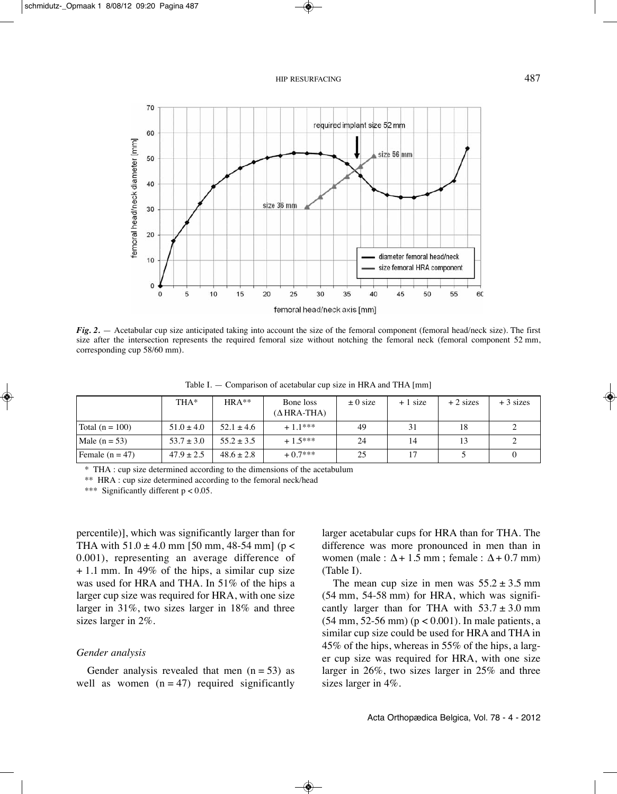

*Fig.* 2. — Acetabular cup size anticipated taking into account the size of the femoral component (femoral head/neck size). The first size after the intersection represents the required femoral size without notching the femoral neck (femoral component 52 mm, corresponding cup 58/60 mm).

|                   | THA*           | $HRA**$        | Bone loss<br>$(\Delta$ HRA-THA) | $\pm 0$ size | $+1$ size | $+2$ sizes | $+3$ sizes |
|-------------------|----------------|----------------|---------------------------------|--------------|-----------|------------|------------|
| Total $(n = 100)$ | $51.0 \pm 4.0$ | $52.1 \pm 4.6$ | $+1.1***$                       | 49           | 31        | 18         |            |
| Male $(n = 53)$   | $53.7 \pm 3.0$ | $55.2 \pm 3.5$ | $+1.5***$                       | 24           | 14        | 13         |            |
| Female $(n = 47)$ | $47.9 \pm 2.5$ | $48.6 \pm 2.8$ | $+0.7***$                       | 25           | 17        |            |            |

Table I.  $-$  Comparison of acetabular cup size in HRA and THA [mm]

\* tHA : cup size determined according to the dimensions of the acetabulum

\*\* HRA : cup size determined according to the femoral neck/head

\*\*\* Significantly different  $p < 0.05$ .

percentile)], which was significantly larger than for THA with  $51.0 \pm 4.0$  mm [50 mm, 48-54 mm] (p < 0.001), representing an average difference of + 1.1 mm. In 49% of the hips, a similar cup size was used for HRA and THA. In 51% of the hips a larger cup size was required for HRA, with one size larger in 31%, two sizes larger in 18% and three sizes larger in 2%.

# *Gender analysis*

Gender analysis revealed that men  $(n = 53)$  as well as women  $(n = 47)$  required significantly larger acetabular cups for HRA than for THA. The difference was more pronounced in men than in women (male :  $\Delta$  + 1.5 mm ; female :  $\Delta$  + 0.7 mm)  $(Table I).$ 

The mean cup size in men was  $55.2 \pm 3.5$  mm (54 mm, 54-58 mm) for HRA, which was significantly larger than for THA with  $53.7 \pm 3.0$  mm (54 mm, 52-56 mm) (p < 0.001). In male patients, a similar cup size could be used for HRA and THA in 45% of the hips, whereas in 55% of the hips, a larger cup size was required for HRA, with one size larger in 26%, two sizes larger in 25% and three sizes larger in 4%.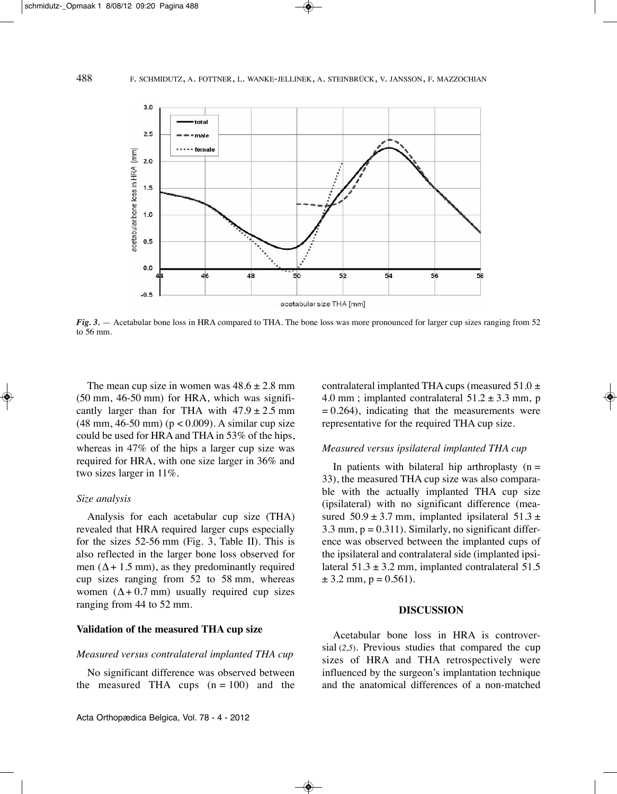

*Fig.* 3. — Acetabular bone loss in HRA compared to THA. The bone loss was more pronounced for larger cup sizes ranging from 52 to 56 mm.

The mean cup size in women was  $48.6 \pm 2.8$  mm (50 mm, 46-50 mm) for HRA, which was significantly larger than for THA with  $47.9 \pm 2.5$  mm (48 mm, 46-50 mm) (p < 0.009). A similar cup size could be used for HRA and THA in  $53\%$  of the hips, whereas in 47% of the hips a larger cup size was required for HRA, with one size larger in 36% and two sizes larger in 11%.

## *Size analysis*

Analysis for each acetabular cup size (THA) revealed that HRA required larger cups especially for the sizes  $52-56$  mm (Fig. 3, Table II). This is also reflected in the larger bone loss observed for men ( $\Delta$  + 1.5 mm), as they predominantly required cup sizes ranging from 52 to 58 mm, whereas women  $(\Delta + 0.7 \text{ mm})$  usually required cup sizes ranging from 44 to 52 mm.

# **Validation of the measured THA cup size**

#### *Measured versus contralateral implanted THA cup*

No significant difference was observed between the measured THA cups  $(n = 100)$  and the contralateral implanted THA cups (measured  $51.0 \pm$ 4.0 mm; implanted contralateral  $51.2 \pm 3.3$  mm, p  $= 0.264$ , indicating that the measurements were representative for the required THA cup size.

# *Measured versus ipsilateral implanted THA cup*

In patients with bilateral hip arthroplasty  $(n =$ 33), the measured THA cup size was also comparable with the actually implanted THA cup size (ipsilateral) with no significant difference (measured  $50.9 \pm 3.7$  mm, implanted ipsilateral  $51.3 \pm$ 3.3 mm,  $p = 0.311$ ). Similarly, no significant difference was observed between the implanted cups of the ipsilateral and contralateral side (implanted ipsilateral  $51.3 \pm 3.2$  mm, implanted contralateral  $51.5$  $\pm$  3.2 mm, p = 0.561).

# **DISCUSSION**

Acetabular bone loss in HRA is controversial (*2,5*). Previous studies that compared the cup sizes of HRA and THA retrospectively were influenced by the surgeon's implantation technique and the anatomical differences of a non-matched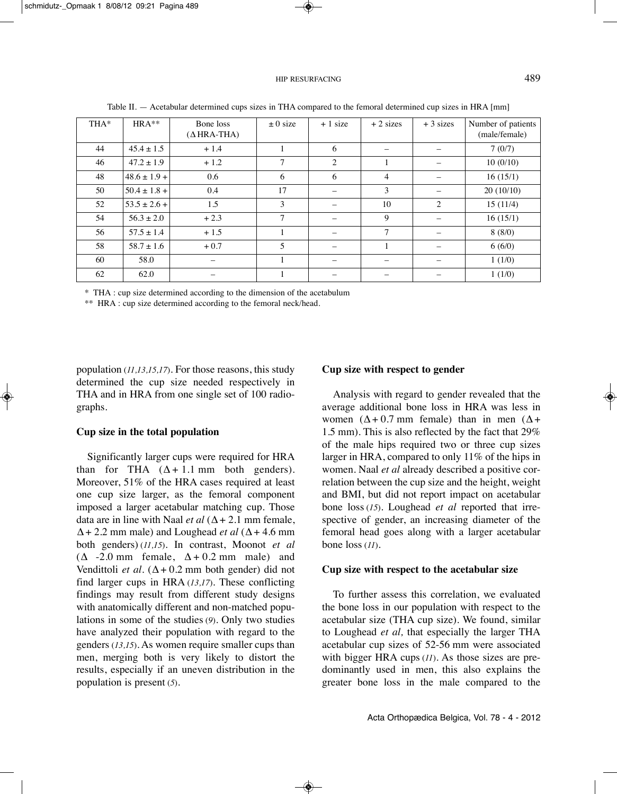| THA* | $HRA***$         | Bone loss<br>$(\Delta$ HRA-THA) | $\pm 0$ size | $+1$ size | $+2$ sizes     | $+3$ sizes | Number of patients<br>(male/female) |
|------|------------------|---------------------------------|--------------|-----------|----------------|------------|-------------------------------------|
| 44   | $45.4 \pm 1.5$   | $+1.4$                          |              | 6         |                |            | 7(0/7)                              |
| 46   | $47.2 \pm 1.9$   | $+1.2$                          | 7            | 2         |                |            | 10(0/10)                            |
| 48   | $48.6 \pm 1.9 +$ | 0.6                             | 6            | 6         | $\overline{4}$ |            | 16(15/1)                            |
| 50   | $50.4 \pm 1.8 +$ | 0.4                             | 17           |           | 3              |            | 20(10/10)                           |
| 52   | $53.5 \pm 2.6 +$ | 1.5                             | 3            |           | 10             | 2          | 15(11/4)                            |
| 54   | $56.3 \pm 2.0$   | $+2.3$                          | $\tau$       |           | 9              |            | 16(15/1)                            |
| 56   | $57.5 \pm 1.4$   | $+1.5$                          |              |           | 7              |            | 8(8/0)                              |
| 58   | $58.7 \pm 1.6$   | $+0.7$                          | 5            |           | $\mathbf{1}$   |            | 6(6/0)                              |
| 60   | 58.0             |                                 |              |           |                |            | 1(1/0)                              |
| 62   | 62.0             |                                 |              |           |                |            | 1(1/0)                              |

Table II.  $-$  Acetabular determined cups sizes in THA compared to the femoral determined cup sizes in HRA  $[mm]$ 

\* tHA : cup size determined according to the dimension of the acetabulum

\*\* HRA : cup size determined according to the femoral neck/head.

population (*11,13,15,17*). For those reasons, this study determined the cup size needed respectively in THA and in HRA from one single set of 100 radiographs.

## **Cup size in the total population**

Significantly larger cups were required for HRA than for THA  $(\Delta + 1.1 \text{ mm}$  both genders). Moreover, 51% of the HRA cases required at least one cup size larger, as the femoral component imposed a larger acetabular matching cup. Those data are in line with Naal *et al*  $(\Delta + 2.1 \text{ mm female})$ .  $\Delta$  + 2.2 mm male) and Loughead *et al* ( $\Delta$  + 4.6 mm both genders) (*11,15*). In contrast, Moonot *et al*  $(\Delta -2.0 \text{ mm} \text{ female}, \Delta + 0.2 \text{ mm} \text{ male})$  and Vendittoli *et al.* ( $\Delta + 0.2$  mm both gender) did not find larger cups in HRA (13,17). These conflicting findings may result from different study designs with anatomically different and non-matched populations in some of the studies (*9*). Only two studies have analyzed their population with regard to the genders (*13,15*). As women require smaller cups than men, merging both is very likely to distort the results, especially if an uneven distribution in the population is present (*5*).

# **Cup size with respect to gender**

Analysis with regard to gender revealed that the average additional bone loss in HRA was less in women ( $\Delta$ +0.7 mm female) than in men ( $\Delta$ + 1.5 mm). This is also reflected by the fact that  $29\%$ of the male hips required two or three cup sizes larger in HRA, compared to only 11% of the hips in women. Naal *et al* already described a positive correlation between the cup size and the height, weight and BMI, but did not report impact on acetabular bone loss (*15*). Loughead *et al* reported that irrespective of gender, an increasing diameter of the femoral head goes along with a larger acetabular bone loss (*11*).

#### **Cup size with respect to the acetabular size**

To further assess this correlation, we evaluated the bone loss in our population with respect to the acetabular size (THA cup size). We found, similar to Loughead *et al*, that especially the larger THA acetabular cup sizes of 52-56 mm were associated with bigger HRA cups (*11*). As those sizes are predominantly used in men, this also explains the greater bone loss in the male compared to the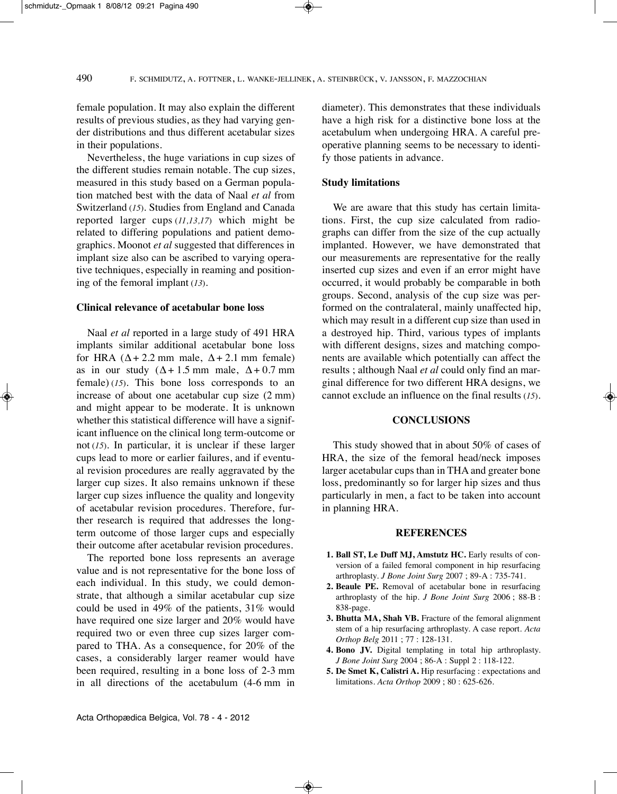female population. It may also explain the different results of previous studies, as they had varying gender distributions and thus different acetabular sizes in their populations.

Nevertheless, the huge variations in cup sizes of the different studies remain notable. The cup sizes, measured in this study based on a German population matched best with the data of Naal *et al* from Switzerland (*15*). Studies from England and Canada reported larger cups (*11,13,17*) which might be related to differing populations and patient demographics. Moonot *et al* suggested that differences in implant size also can be ascribed to varying operative techniques, especially in reaming and positioning of the femoral implant (*13*).

### **Clinical relevance of acetabular bone loss**

Naal *et al* reported in a large study of 491 HRA implants similar additional acetabular bone loss for HRA  $(\Delta + 2.2 \text{ mm} \text{ male}, \Delta + 2.1 \text{ mm} \text{ female})$ as in our study  $(\Delta + 1.5 \text{ mm})$  male,  $\Delta + 0.7 \text{ mm}$ female)  $(15)$ . This bone loss corresponds to an increase of about one acetabular cup size (2 mm) and might appear to be moderate. It is unknown whether this statistical difference will have a significant influence on the clinical long term-outcome or not (*15*). In particular, it is unclear if these larger cups lead to more or earlier failures, and if eventual revision procedures are really aggravated by the larger cup sizes. It also remains unknown if these larger cup sizes influence the quality and longevity of acetabular revision procedures. Therefore, further research is required that addresses the longterm outcome of those larger cups and especially their outcome after acetabular revision procedures.

The reported bone loss represents an average value and is not representative for the bone loss of each individual. In this study, we could demonstrate, that although a similar acetabular cup size could be used in 49% of the patients, 31% would have required one size larger and 20% would have required two or even three cup sizes larger compared to THA. As a consequence, for 20% of the cases, a considerably larger reamer would have been required, resulting in a bone loss of 2-3 mm in all directions of the acetabulum (4-6 mm in diameter). This demonstrates that these individuals have a high risk for a distinctive bone loss at the acetabulum when undergoing HRA. A careful preoperative planning seems to be necessary to identify those patients in advance.

# **Study limitations**

We are aware that this study has certain limitations. First, the cup size calculated from radiographs can differ from the size of the cup actually implanted. However, we have demonstrated that our measurements are representative for the really inserted cup sizes and even if an error might have occurred, it would probably be comparable in both groups. Second, analysis of the cup size was performed on the contralateral, mainly unaffected hip, which may result in a different cup size than used in a destroyed hip. Third, various types of implants with different designs, sizes and matching components are available which potentially can affect the results ; although Naal *et al* could only find an marginal difference for two different HRA designs, we cannot exclude an influence on the final results (*15*).

# **CONCLUSIONS**

This study showed that in about  $50\%$  of cases of HRA, the size of the femoral head/neck imposes larger acetabular cups than in THA and greater bone loss, predominantly so for larger hip sizes and thus particularly in men, a fact to be taken into account in planning HRA.

## **REFERENCES**

- **1. Ball ST, Le Duff MJ, Amstutz HC.** Early results of conversion of a failed femoral component in hip resurfacing arthroplasty. *J Bone Joint Surg* 2007 ; 89-A : 735-741.
- **2. Beaule PE.** Removal of acetabular bone in resurfacing arthroplasty of the hip. *J Bone Joint Surg* 2006 ; 88-B : 838-page.
- **3. Bhutta MA, Shah VB.** Fracture of the femoral alignment stem of a hip resurfacing arthroplasty. A case report. *Acta Orthop Belg* 2011 ; 77 : 128-131.
- **4. Bono JV.** Digital templating in total hip arthroplasty. *J Bone Joint Surg* 2004 ; 86-A : Suppl 2 : 118-122.
- **5. De Smet K, Calistri A.** Hip resurfacing : expectations and limitations. *Acta Orthop* 2009 ; 80 : 625-626.